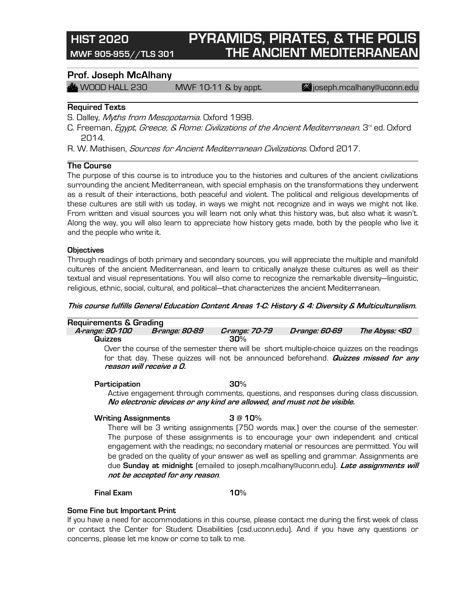# **HIST 2020 PYRAMIDS, PIRATES, & THE POLIS MWF 905-955//TLS 301 THE ANCIENT MEDITERRANEAN**

### **Prof. Joseph McAlhany**

 $\mathbb{Z}$  WOOD HALL 230 MWF 10-11 & by appt.  $\mathbb{Z}$  joseph.mcalhany@uconn.edu

#### **Required Texts**

S. Dalley, Myths from Mesopotamia. Oxford 1998.

C. Freeman, *Egypt, Greece, & Rome: Civilizations of the Ancient Mediterranean*. 3<sup>rd</sup> ed. Oxford 2014.

R. W. Mathisen, *Sources for Ancient Mediterranean Civilizations*. Oxford 2017.

### **The Course**

The purpose of this course is to introduce you to the histories and cultures of the ancient civilizations surrounding the ancient Mediterranean, with special emphasis on the transformations they underwent as a result of their interactions, both peaceful and violent. The political and religious developments of these cultures are still with us today, in ways we might not recognize and in ways we might not like. From written and visual sources you will learn not only what this history was, but also what it wasn't. Along the way, you will also learn to appreciate how history gets made, both by the people who live it and the people who write it.

#### **Objectives**

Through readings of both primary and secondary sources, you will appreciate the multiple and manifold cultures of the ancient Mediterranean, and learn to critically analyze these cultures as well as their textual and visual representations. You will also come to recognize the remarkable diversity—linguistic, religious, ethnic, social, cultural, and political—that characterizes the ancient Mediterranean.

#### **This course fulfills General Education Content Areas 1-C: History & 4: Diversity & Multiculturalism.**

| <b>Requirements &amp; Grading</b> |                          |                |                                                                                                                                                                                            |                |
|-----------------------------------|--------------------------|----------------|--------------------------------------------------------------------------------------------------------------------------------------------------------------------------------------------|----------------|
| A-range: 90-100                   | <b>B-range: 80-89</b>    | C-range: 70-79 | D-range: 60-69                                                                                                                                                                             | The Abyss: <60 |
| Quizzes                           |                          | 30%            |                                                                                                                                                                                            |                |
|                                   | reason will receive a O. |                | Over the course of the semester there will be short multiple-choice quizzes on the readings<br>for that day. These quizzes will not be announced beforehand. <b>Quizzes missed for any</b> |                |
| Participation                     |                          | 30%            |                                                                                                                                                                                            |                |
|                                   |                          |                | Active engagement through comments, questions, and responses during class discussion.<br>No electronic devices or any kind are allowed, and must not be visible.                           |                |
| <b>Writing Assignments</b>        |                          | 3@10%          |                                                                                                                                                                                            |                |
|                                   |                          |                | There will be 3 writing assignments (750 words max.) over the course of the semester.                                                                                                      |                |
|                                   |                          |                | The purpose of these assignments is to encourage your own independent and critical<br>engagement with the readings; no secondary material or resources are nermitted You will              |                |

engagement with the readings; no secondary material or resources are permitted. You will be graded on the quality of your answer as well as spelling and grammar. Assignments are due **Sunday at midnight** (emailed to joseph.mcalhany@uconn.edu). **Late assignments will not be accepted for any reason**.

#### **Final Exam 10%**

#### **Some Fine but Important Print**

If you have a need for accommodations in this course, please contact me during the first week of class or contact the Center for Student Disabilities (csd.uconn.edu). And if you have any questions or concerns, please let me know or come to talk to me.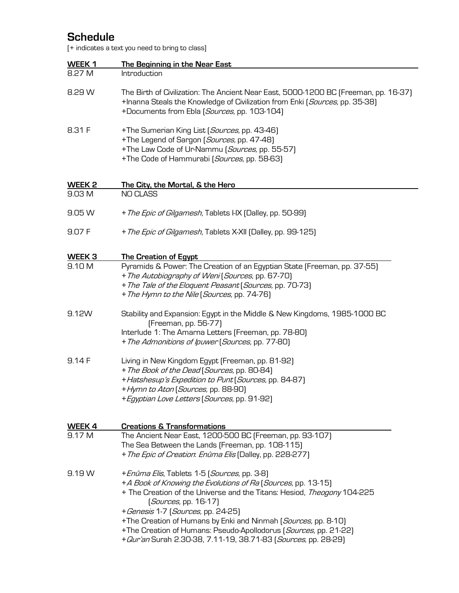# **Schedule**

[+ indicates a text you need to bring to class]

| WEEK 1<br>8.27 M            | The Beginning in the Near East<br>Introduction                                                                                                                                                                                                                                                                                                                                                                                                                |
|-----------------------------|---------------------------------------------------------------------------------------------------------------------------------------------------------------------------------------------------------------------------------------------------------------------------------------------------------------------------------------------------------------------------------------------------------------------------------------------------------------|
| 8.29 W                      | The Birth of Civilization: The Ancient Near East, 5000-1200 BC (Freeman, pp. 16-37)<br>+Inanna Steals the Knowledge of Civilization from Enki (Sources, pp. 35-38)<br>+Documents from Ebla (Sources, pp. 103-104)                                                                                                                                                                                                                                             |
| 8.31 F                      | +The Sumerian King List [Sources, pp. 43-46]<br>+The Legend of Sargon (Sources, pp. 47-48)<br>+The Law Code of Ur-Nammu (Sources, pp. 55-57)<br>+The Code of Hammurabi (Sources, pp. 58-63)                                                                                                                                                                                                                                                                   |
|                             |                                                                                                                                                                                                                                                                                                                                                                                                                                                               |
| WEEK <sub>2</sub><br>9.03 M | The City, the Mortal, & the Hero<br>NO CLASS                                                                                                                                                                                                                                                                                                                                                                                                                  |
|                             |                                                                                                                                                                                                                                                                                                                                                                                                                                                               |
| 9.05 W                      | + The Epic of Gilgamesh, Tablets I-IX (Dalley, pp. 50-99)                                                                                                                                                                                                                                                                                                                                                                                                     |
| 9.07 F                      | + The Epic of Gilgamesh, Tablets X-XII (Dalley, pp. 99-125)                                                                                                                                                                                                                                                                                                                                                                                                   |
| WEEK <sub>3</sub>           | <b>The Creation of Egypt</b>                                                                                                                                                                                                                                                                                                                                                                                                                                  |
| 9.10 M                      | Pyramids & Power: The Creation of an Egyptian State [Freeman, pp. 37-55]<br>+ The Autobiography of Weni (Sources, pp. 67-70)<br>+ The Tale of the Eloquent Peasant (Sources, pp. 70-73)<br>+ The Hymn to the Nile (Sources, pp. 74-76)                                                                                                                                                                                                                        |
| 9.12W                       | Stability and Expansion: Egypt in the Middle & New Kingdoms, 1985-1000 BC<br>[Freeman, pp. 56-77]<br>Interlude 1: The Amarna Letters (Freeman, pp. 78-80)<br>+ The Admonitions of Ipuwer (Sources, pp. 77-80)                                                                                                                                                                                                                                                 |
| 9.14 F                      | Living in New Kingdom Egypt (Freeman, pp. 81-92)<br>+ The Book of the Dead (Sources, pp. 80-84)<br>+ Hatshesup's Expedition to Punt (Sources, pp. 84-87)<br>+ Hymn to Aton (Sources, pp. 88-90)<br>+ Egyptian Love Letters (Sources, pp. 91-92)                                                                                                                                                                                                               |
| WEEK 4                      | <b>Creations &amp; Transformations</b>                                                                                                                                                                                                                                                                                                                                                                                                                        |
| 9.17 M                      | The Ancient Near East, 1200-500 BC [Freeman, pp. 93-107]<br>The Sea Between the Lands (Freeman, pp. 108-115)<br>+ The Epic of Creation. Enûma Elis (Dalley, pp. 228-277)                                                                                                                                                                                                                                                                                      |
| 9.19 W                      | + Enûma Elis, Tablets 1-5 (Sources, pp. 3-8)<br>+A Book of Knowing the Evolutions of Ra (Sources, pp. 13-15)<br>+ The Creation of the Universe and the Titans: Hesiod, Theogony 104-225<br>[Sources, pp. 16-17]<br>+ Genesis 1-7 (Sources, pp. 24-25)<br>+The Creation of Humans by Enki and Ninmah (Sources, pp. 8-10)<br>+The Creation of Humans: Pseudo-Apollodorus (Sources, pp. 21-22)<br>+ Qur'an Surah 2.30-38, 7.11-19, 38.71-83 (Sources, pp. 28-29) |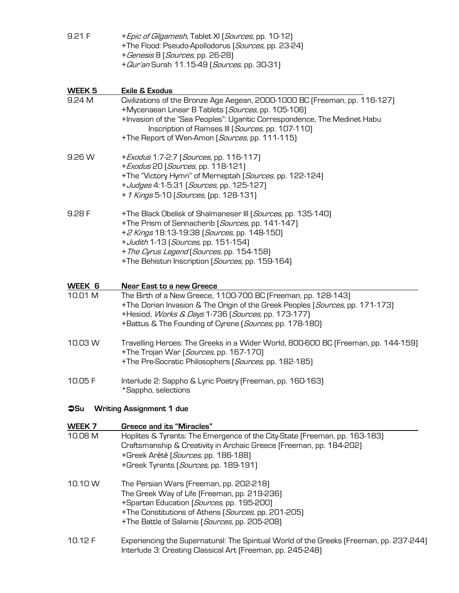| 9.21 F       | + Epic of Gilgamesh, Tablet XI (Sources, pp. 10-12)<br>+The Flood: Pseudo-Apollodorus (Sources, pp. 23-24)<br>+ Genesis 8 (Sources, pp. 26-28) |
|--------------|------------------------------------------------------------------------------------------------------------------------------------------------|
|              | + Qur'an Surah 11.15-49 (Sources, pp. 30-31)                                                                                                   |
| WEEK 5       | <b>Exile &amp; Exodus</b>                                                                                                                      |
| 9.24 M       | Civilizations of the Bronze Age Aegean, 2000-1000 BC (Freeman, pp. 116-127)                                                                    |
|              | +Mycenaean Linear B Tablets (Sources, pp. 105-106)<br>+Invasion of the "Sea Peoples": Ugaritic Correspondence, The Medinet Habu                |
|              | Inscription of Ramses III (Sources, pp. 107-110)                                                                                               |
|              | +The Report of Wen-Amon (Sources, pp. 111-115)                                                                                                 |
| 9.26 W       | + Exodus 1:7-2:7 [Sources, pp. 116-117]                                                                                                        |
|              | + Exodus 20 (Sources, pp. 118-121)                                                                                                             |
|              | +The "Victory Hymn" of Merneptah (Sources, pp. 122-124)<br>+ Judges 4:1-5:31 (Sources, pp. 125-127)                                            |
|              | + 1 Kings 5-10 (Sources, (pp. 128-131)                                                                                                         |
| 9.28 F       | +The Black Obelisk of Shalmaneser III (Sources, pp. 135-140)                                                                                   |
|              | +The Prism of Sennacherib [Sources, pp. 141-147]                                                                                               |
|              | +2 Kings 18:13-19:38 (Sources, pp. 148-150)                                                                                                    |
|              | + Judith 1-13 (Sources, pp. 151-154)<br>+ The Cyrus Legend (Sources, pp. 154-158)                                                              |
|              | +The Behistun Inscription (Sources, pp. 159-164)                                                                                               |
| WEEK 6       | Near East to a new Greece                                                                                                                      |
| 10.01 M      | The Birth of a New Greece, 1100-700 BC (Freeman, pp. 128-143)                                                                                  |
|              | +The Dorian Invasion & The Origin of the Greek Peoples [Sources, pp. 171-173]                                                                  |
|              | +Hesiod, Works & Days 1-736 [Sources, pp. 173-177]                                                                                             |
|              | +Battus & The Founding of Cyrene (Sources, pp. 178-180)                                                                                        |
| 10.03 W      | Travelling Heroes: The Greeks in a Wider World, 800-600 BC (Freeman, pp. 144-159)                                                              |
|              | +The Trojan War (Sources, pp. 167-170)<br>+The Pre-Socratic Philosophers (Sources, pp. 182-185)                                                |
|              |                                                                                                                                                |
| 10.05 F      | Interlude 2: Sappho & Lyric Poetry (Freeman, pp. 160-163)<br>*Sappho, selections                                                               |
| $\bullet$ Su | <b>Writing Assignment 1 due</b>                                                                                                                |
| WEEK 7       | <b>Greece and its "Miracles"</b>                                                                                                               |
| 10.08 M      | Hoplites & Tyrants: The Emergence of the City-State (Freeman, pp. 163-183)                                                                     |
|              | Craftsmanship & Creativity in Archaic Greece (Freeman, pp. 184-202)                                                                            |
|              | +Greek Arētē (Sources, pp. 186-188)<br>+Greek Tyrants (Sources, pp. 189-191)                                                                   |
| 10.10 W      | The Persian Wars (Freeman, pp. 202-218)                                                                                                        |
|              | The Greek Way of Life (Freeman, pp. 219-236)                                                                                                   |
|              | +Spartan Education (Sources, pp. 195-200)                                                                                                      |
|              | +The Constitutions of Athens (Sources, pp. 201-205)                                                                                            |
|              | +The Battle of Salamis (Sources, pp. 205-208)                                                                                                  |
| 10.12 F      | Experiencing the Supernatural: The Spiritual World of the Greeks (Freeman, pp. 237-244)                                                        |
|              | Interlude 3: Creating Classical Art (Freeman, pp. 245-248)                                                                                     |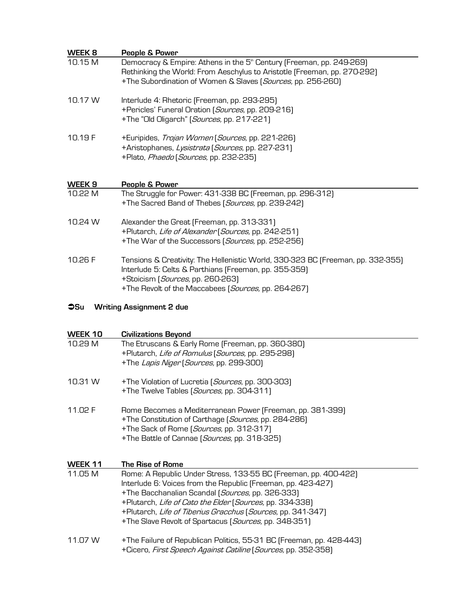| WEEK 8  | People & Power                                                                                                                                                                                                              |
|---------|-----------------------------------------------------------------------------------------------------------------------------------------------------------------------------------------------------------------------------|
| 10.15 M | Democracy & Empire: Athens in the 5 <sup>th</sup> Century (Freeman, pp. 249-269)<br>Rethinking the World: From Aeschylus to Aristotle (Freeman, pp. 270-292)<br>+The Subordination of Women & Slaves (Sources, pp. 256-260) |
| 10.17 W | Interlude 4: Rhetoric (Freeman, pp. 293-295)<br>+Pericles' Funeral Oration (Sources, pp. 209-216)<br>+The "Old Oligarch" [Sources, pp. 217-221]                                                                             |
| 10.19 F | +Euripides, Trojan Women (Sources, pp. 221-226)<br>+Aristophanes, Lysistrata (Sources, pp. 227-231)<br>+Plato, Phaedo (Sources, pp. 232-235)                                                                                |
| WEEK 9  | People & Power                                                                                                                                                                                                              |
| 10.22 M | The Struggle for Power: 431-338 BC (Freeman, pp. 296-312)<br>+The Sacred Band of Thebes (Sources, pp. 239-242)                                                                                                              |
| 10.24 W | Alexander the Great (Freeman, pp. 313-331)<br>+Plutarch, Life of Alexander (Sources, pp. 242-251)<br>+The War of the Successors (Sources, pp. 252-256)                                                                      |
| 10.26 F | Tensions & Creativity: The Hellenistic World, 330-323 BC (Freeman, pp. 332-355)<br>Interlude 5: Celts & Parthians (Freeman, pp. 355-359)<br>+Stoicism (Sources, pp. 260-263)                                                |

# Ü**Su Writing Assignment 2 due**

| WEEK 10 | <b>Civilizations Beyond</b>                                                                                                                                                                                                                                                                                                                                                      |
|---------|----------------------------------------------------------------------------------------------------------------------------------------------------------------------------------------------------------------------------------------------------------------------------------------------------------------------------------------------------------------------------------|
| 10.29 M | The Etruscans & Early Rome (Freeman, pp. 360-380)<br>+Plutarch, Life of Romulus (Sources, pp. 295-298)<br>+The Lapis Niger (Sources, pp. 299-300)                                                                                                                                                                                                                                |
| 10.31 W | +The Violation of Lucretia (Sources, pp. 300-303)<br>+The Twelve Tables (Sources, pp. 304-311)                                                                                                                                                                                                                                                                                   |
| 11.02 F | Rome Becomes a Mediterranean Power (Freeman, pp. 381-399)<br>+The Constitution of Carthage (Sources, pp. 284-286)<br>+The Sack of Rome (Sources, pp. 312-317)<br>+The Battle of Cannae (Sources, pp. 318-325)                                                                                                                                                                    |
| WEEK 11 | The Rise of Rome                                                                                                                                                                                                                                                                                                                                                                 |
| 11.05 M | Rome: A Republic Under Stress, 133-55 BC (Freeman, pp. 400-422)<br>Interlude 6: Voices from the Republic (Freeman, pp. 423-427)<br>+The Bacchanalian Scandal (Sources, pp. 326-333)<br>+Plutarch, Life of Cato the Elder (Sources, pp. 334-338)<br>+Plutarch, Life of Tiberius Gracchus (Sources, pp. 341-347)<br>+The Slave Revolt of Spartacus ( <i>Sources</i> , pp. 348-351) |
| 11.07 W | +The Failure of Republican Politics, 55-31 BC (Freeman, pp. 428-443)<br>+Cicero, First Speech Against Catiline (Sources, pp. 352-358)                                                                                                                                                                                                                                            |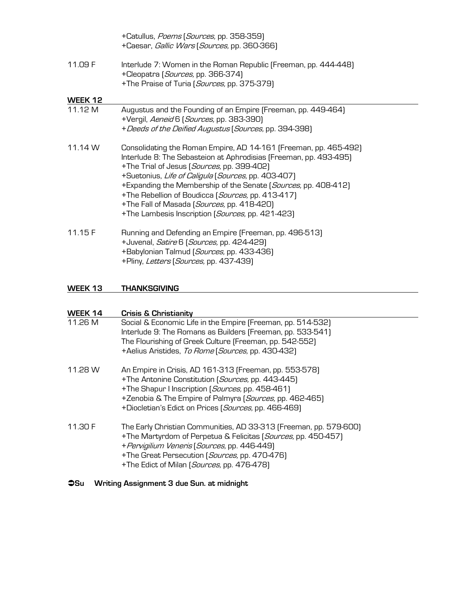|         | +Catullus, Poems (Sources, pp. 358-359)<br>+Caesar, <i>Gallic Wars</i> (Sources, pp. 360-366)                                                                                                                                                                                                                                                                                                                                                                       |
|---------|---------------------------------------------------------------------------------------------------------------------------------------------------------------------------------------------------------------------------------------------------------------------------------------------------------------------------------------------------------------------------------------------------------------------------------------------------------------------|
| 11.09 F | Interlude 7: Women in the Roman Republic (Freeman, pp. 444-448)<br>+Cleopatra (Sources, pp. 366-374)<br>+The Praise of Turia (Sources, pp. 375-379)                                                                                                                                                                                                                                                                                                                 |
| WEEK 12 |                                                                                                                                                                                                                                                                                                                                                                                                                                                                     |
| 11.12 M | Augustus and the Founding of an Empire (Freeman, pp. 449-464)<br>+Vergil, Aeneid 6 (Sources, pp. 383-390)<br>+ Deeds of the Deified Augustus (Sources, pp. 394-398)                                                                                                                                                                                                                                                                                                 |
| 11.14 W | Consolidating the Roman Empire, AD 14-161 (Freeman, pp. 465-492)<br>Interlude 8: The Sebasteion at Aphrodisias (Freeman, pp. 493-495)<br>+The Trial of Jesus (Sources, pp. 399-402)<br>+Suetonius, Life of Caligula (Sources, pp. 403-407)<br>+Expanding the Membership of the Senate (Sources, pp. 408-412)<br>+The Rebellion of Boudicca (Sources, pp. 413-417)<br>+The Fall of Masada (Sources, pp. 418-420)<br>+The Lambesis Inscription (Sources, pp. 421-423) |
| 11.15F  | Running and Defending an Empire (Freeman, pp. 496-513)<br>+Juvenal, Satire 6 (Sources, pp. 424-429)<br>+Babylonian Talmud (Sources, pp. 433-436)<br>+Pliny, Letters (Sources, pp. 437-439)                                                                                                                                                                                                                                                                          |

### **WEEK 13 THANKSGIVING**

| WEEK 14 | <b>Crisis &amp; Christianity</b>                                                                                                                                                                                                                                                   |
|---------|------------------------------------------------------------------------------------------------------------------------------------------------------------------------------------------------------------------------------------------------------------------------------------|
| 11.26 M | Social & Economic Life in the Empire (Freeman, pp. 514-532)<br>Interlude 9: The Romans as Builders (Freeman, pp. 533-541)<br>The Flourishing of Greek Culture (Freeman, pp. 542-552)<br>+Aelius Aristides, To Rome (Sources, pp. 430-432)                                          |
| 11.28 W | An Empire in Crisis, AD 161-313 (Freeman, pp. 553-578)<br>+The Antonine Constitution (Sources, pp. 443-445)<br>+The Shapur I Inscription (Sources, pp. 458-461)<br>+Zenobia & The Empire of Palmyra (Sources, pp. 462-465)<br>+Diocletian's Edict on Prices (Sources, pp. 466-469) |
| 11.30 F | The Early Christian Communities, AD 33-313 (Freeman, pp. 579-600)<br>+The Martyrdom of Perpetua & Felicitas (Sources, pp. 450-457)<br>+ Pervigilium Veneris (Sources, pp. 446-449)<br>+The Great Persecution (Sources, pp. 470-476)<br>+The Edict of Milan (Sources, pp. 476-478)  |

# Ü**Su Writing Assignment 3 due Sun. at midnight**